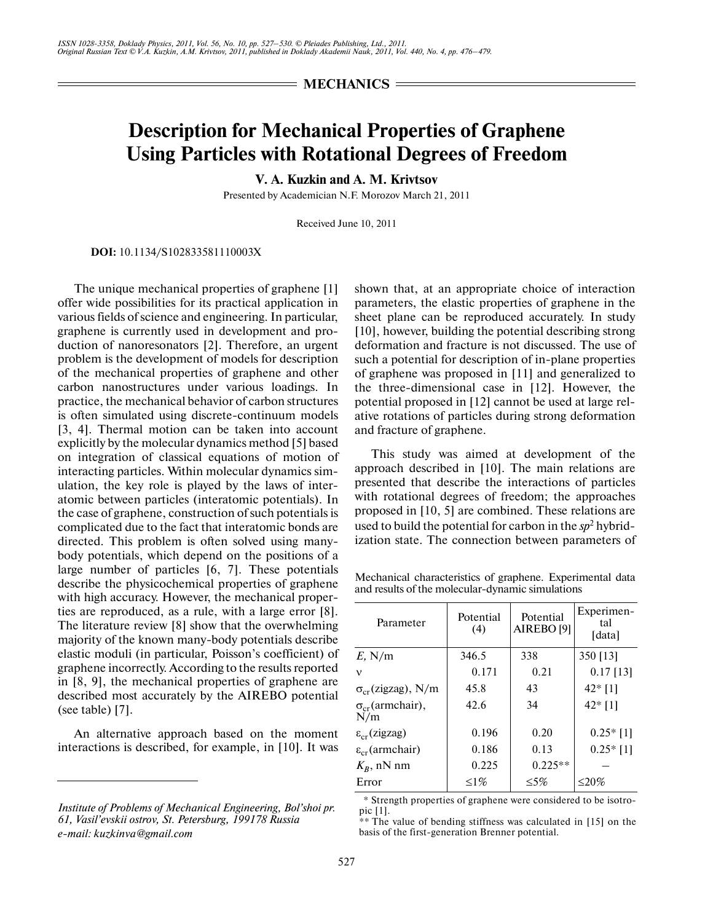$=$  **MECHANICS**  $=$ 

## **Description for Mechanical Properties of Graphene Using Particles with Rotational Degrees of Freedom**

**V. A. Kuzkin and A. M. Krivtsov**

Presented by Academician N.F. Morozov March 21, 2011

Received June 10, 2011

**DOI:** 10.1134/S102833581110003X

The unique mechanical properties of graphene [1] offer wide possibilities for its practical application in various fields of science and engineering. In particular, graphene is currently used in development and pro duction of nanoresonators [2]. Therefore, an urgent problem is the development of models for description of the mechanical properties of graphene and other carbon nanostructures under various loadings. In practice, the mechanical behavior of carbon structures is often simulated using discrete-continuum models [3, 4]. Thermal motion can be taken into account explicitly by the molecular dynamics method [5] based on integration of classical equations of motion of interacting particles. Within molecular dynamics sim ulation, the key role is played by the laws of inter atomic between particles (interatomic potentials). In the case of graphene, construction of such potentials is complicated due to the fact that interatomic bonds are directed. This problem is often solved using many body potentials, which depend on the positions of a large number of particles [6, 7]. These potentials describe the physicochemical properties of graphene with high accuracy. However, the mechanical proper ties are reproduced, as a rule, with a large error [8]. The literature review [8] show that the overwhelming majority of the known many-body potentials describe elastic moduli (in particular, Poisson's coefficient) of graphene incorrectly. According to the results reported in [8, 9], the mechanical properties of graphene are described most accurately by the AIREBO potential (see table) [7].

An alternative approach based on the moment interactions is described, for example, in [10]. It was shown that, at an appropriate choice of interaction parameters, the elastic properties of graphene in the sheet plane can be reproduced accurately. In study [10], however, building the potential describing strong deformation and fracture is not discussed. The use of such a potential for description of in-plane properties of graphene was proposed in [11] and generalized to the three-dimensional case in [12]. However, the potential proposed in [12] cannot be used at large rel ative rotations of particles during strong deformation and fracture of graphene.

This study was aimed at development of the approach described in [10]. The main relations are presented that describe the interactions of particles with rotational degrees of freedom; the approaches proposed in [10, 5] are combined. These relations are used to build the potential for carbon in the *sp*<sup>2</sup> hybrid ization state. The connection between parameters of

Mechanical characteristics of graphene. Experimental data and results of the molecular-dynamic simulations

| Parameter                        | Potential<br>(4) | Potential<br>AIREBO <sup>[9]</sup> | Experimen-<br>tal<br>[data] |
|----------------------------------|------------------|------------------------------------|-----------------------------|
|                                  | 346.5            | 338                                |                             |
| $E$ , N/m                        |                  |                                    | 350 [13]                    |
| ν                                | 0.171            | 0.21                               | $0.17$ [13]                 |
| $\sigma_{cr}$ (zigzag), N/m      | 45.8             | 43                                 | $42*$ [1]                   |
| $\sigma_{cr}$ (armchair),<br>N/m | 42.6             | 34                                 | $42*$ [1]                   |
| $\varepsilon_{cr}$ (zigzag)      | 0.196            | 0.20                               | $0.25*$ [1]                 |
| $\varepsilon_{cr}$ (armchair)    | 0.186            | 0.13                               | $0.25*$ [1]                 |
| $K_R$ , nN nm                    | 0.225            | $0.225**$                          |                             |
| Error                            | $\leq1\%$        | $\leq 5\%$                         | $\leq$ 20%                  |

\* Strength properties of graphene were considered to be isotro pic [1].

 $**$  The value of bending stiffness was calculated in [15] on the basis of the first-generation Brenner potential.

*Institute of Problems of Mechanical Engineering, Bol'shoi pr. 61, Vasil'evskii ostrov, St. Petersburg, 199178 Russia e-mail: kuzkinva@gmail.com*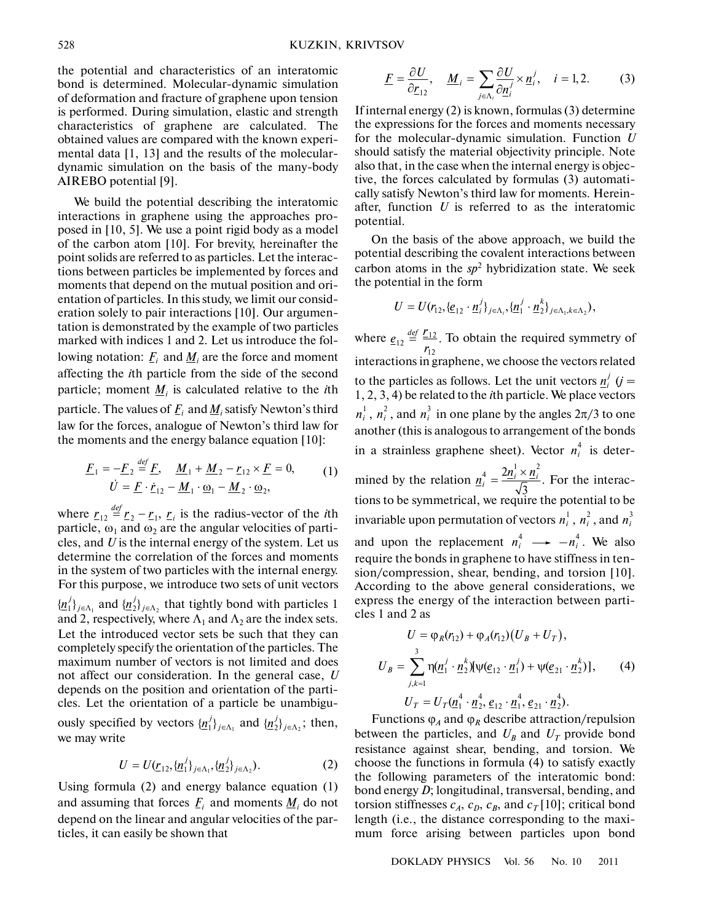the potential and characteristics of an interatomic bond is determined. Molecular-dynamic simulation of deformation and fracture of graphene upon tension is performed. During simulation, elastic and strength characteristics of graphene are calculated. The obtained values are compared with the known experi mental data [1, 13] and the results of the molecular dynamic simulation on the basis of the many-body AIREBO potential [9].

We build the potential describing the interatomic interactions in graphene using the approaches pro posed in [10, 5]. We use a point rigid body as a model of the carbon atom [10]. For brevity, hereinafter the point solids are referred to as particles. Let the interac tions between particles be implemented by forces and moments that depend on the mutual position and ori entation of particles. In this study, we limit our consid eration solely to pair interactions [10]. Our argumen tation is demonstrated by the example of two particles marked with indices 1 and 2. Let us introduce the fol lowing notation:  $\underline{F}_i$  and  $\underline{M}_i$  are the force and moment affecting the *i*th particle from the side of the second particle; moment  $\underline{M}_i$  is calculated relative to the *i*th particle. The values of  $\underline{F}_i$  and  $\underline{M}_i$  satisfy Newton's third law for the forces, analogue of Newton's third law for<br>the moments and the energy balance equation [10]:<br> $\underline{F}_1 = -\underline{F}_2 \stackrel{\text{def}}{=} \underline{F}, \quad \underline{M}_1 + \underline{M}_2 - \underline{r}_{12} \times \underline{F} = 0,$  (1)<br> $\dot{U} = F \cdot \dot{r}_{12} - M_1 \cdot \omega_1 - M_2 \cdot \omega_2,$ the moments and the energy balance equation [10]:

$$
\underline{F}_1 = -\underline{F}_2 \stackrel{\text{def}}{=} \underline{F}, \quad \underline{M}_1 + \underline{M}_2 - \underline{r}_{12} \times \underline{F} = 0, \qquad (1)
$$
\n
$$
\dot{U} = \underline{F} \cdot \dot{\underline{r}}_{12} - \underline{M}_1 \cdot \underline{\omega}_1 - \underline{M}_2 \cdot \underline{\omega}_2,
$$

where  $r_{12} \stackrel{\text{def}}{=} r_2 - r_1$ ,  $r_i$  is the radius-vector of the *i*th particle,  $\omega_1$  and  $\omega_2$  are the angular velocities of particles, and *U* is the internal energy of the system. Let us determine the correlation of the forces and moments in the system of two particles with the internal energy. For this purpose, we introduce two sets of unit vectors  $\{\underline{n}_1^j\}_{j \in \Lambda_1}$  and  $\{\underline{n}_2^j\}_{j \in \Lambda_2}$  that tightly bond with particles 1 and 2, respectively, where  $\Lambda_1$  and  $\Lambda_2$  are the index sets. Let the introduced vector sets be such that they can completely specify the orientation of the particles. The maximum number of vectors is not limited and does not affect our consideration. In the general case, *U*  $\underline{r}_{12} \stackrel{\text{def}}{=} \underline{r}_2 - \underline{r}_1, \underline{r}_i$ 

ously specified by vectors  $\{\underline{n}_1^j\}_{j \in \Lambda_1}$  and  $\{\underline{n}_2^j\}_{j \in \Lambda_2}$ ; then, we may write

depends on the position and orientation of the parti cles. Let the orientation of a particle be unambigu-

$$
U = U(\underline{r}_{12}, \{\underline{n}_1^j\}_{j \in \Lambda_1}, \{\underline{n}_2^j\}_{j \in \Lambda_2}).
$$
 (2)

Using formula (2) and energy balance equation (1) and assuming that forces  $\underline{F}_i$  and moments  $\underline{M}_i$  do not depend on the linear and angular velocities of the par ticles, it can easily be shown that

$$
\underline{F} = \frac{\partial U}{\partial \underline{r}_{12}}, \quad \underline{M}_i = \sum_{j \in \Lambda_i} \frac{\partial U}{\partial \underline{n}_i^j} \times \underline{n}_i^j, \quad i = 1, 2. \tag{3}
$$

If internal energy (2) is known, formulas (3) determine the expressions for the forces and moments necessary for the molecular-dynamic simulation. Function *U* should satisfy the material objectivity principle. Note also that, in the case when the internal energy is objec tive, the forces calculated by formulas (3) automati cally satisfy Newton's third law for moments. Herein after, function *U* is referred to as the interatomic potential.

On the basis of the above approach, we build the potential describing the covalent interactions between carbon atoms in the  $sp<sup>2</sup>$  hybridization state. We seek the potential in the form

$$
U = U(r_{12}, \{e_{12} \cdot \underline{n}_i^j\}_{j \in \Lambda_i}, \{ \underline{n}_1^j \cdot \underline{n}_2^k\}_{j \in \Lambda_1, k \in \Lambda_2}),
$$

where  $\underline{e}_{12} \stackrel{\text{def}}{=} \underline{r}_{12}$ . To obtain the required symmetry of  $\frac{r_{12}}{r_{12}}$  interactions in graphene, we choose the vectors related to the particles as follows. Let the unit vectors  $\frac{n^j}{n^j}$  (*j* = 1, 2, 3, 4) be related to the *i*th particle. We place vectors  $n_i^1$ ,  $n_i^2$ , and  $n_i^3$  in one plane by the angles  $2\pi/3$  to one another (this is analogous to arrangement of the bonds in a strainless graphene sheet). Vector  $n_i^4$  is deter- $\frac{ref}{r} = \frac{r}{r}$ 

mined by the relation  $\frac{n_i^4}{\sqrt{n}} = \frac{2n_i \wedge n_i}{\sqrt{n}}$ . For the interactions to be symmetrical, we require the potential to be invariable upon permutation of vectors  $n_i^1$  ,  $n_i^2$  , and  $n_i^3$ and upon the replacement  $n_i^4 \longrightarrow -n_i^4$ . We also require the bonds in graphene to have stiffness in ten sion/compression, shear, bending, and torsion [10]. According to the above general considerations, we express the energy of the interaction between parti cles 1 and 2 as  $=\frac{2n_i^1\times}{r}$ 4  $2\underline{n}_i^1 \times \underline{n}_i^2$  $\underline{n}_i^4 = \frac{2\underline{n}_i^1 \times \underline{n}_i^2}{\sqrt{3}}$ 

$$
U = \varphi_R(r_{12}) + \varphi_A(r_{12})(U_B + U_T),
$$
  
\n
$$
U_B = \sum_{j,k=1}^3 \eta(\underline{n}_1^j \cdot \underline{n}_2^k) [\psi(\underline{e}_{12} \cdot \underline{n}_1^j) + \psi(\underline{e}_{21} \cdot \underline{n}_2^k)],
$$
\n
$$
U_T = U_T(\underline{n}_1^4 \cdot \underline{n}_2^4, \underline{e}_{12} \cdot \underline{n}_1^4, \underline{e}_{21} \cdot \underline{n}_2^4).
$$
\n(4)

Functions  $φ<sub>A</sub>$  and  $φ<sub>R</sub>$  describe attraction/repulsion between the particles, and  $U_B$  and  $U_T$  provide bond resistance against shear, bending, and torsion. We choose the functions in formula (4) to satisfy exactly the following parameters of the interatomic bond: bond energy *D*; longitudinal, transversal, bending, and torsion stiffnesses  $c_A$ ,  $c_B$ ,  $c_B$ , and  $c_T$ [10]; critical bond length (i.e., the distance corresponding to the maxi mum force arising between particles upon bond

DOKLADY PHYSICS Vol. 56 No. 10 2011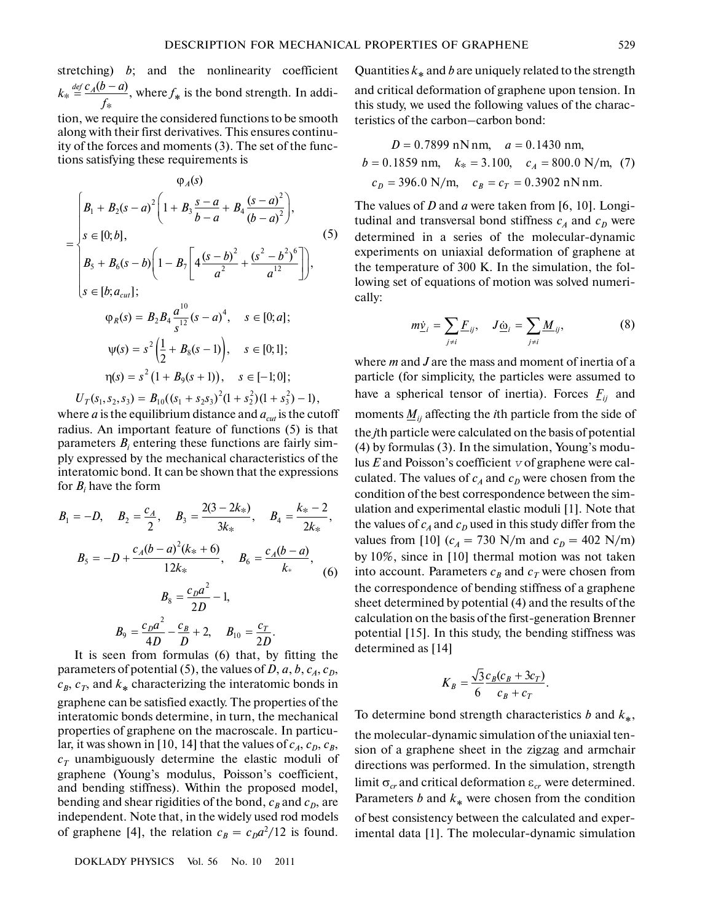stretching)  $b$ ; and the nonlinearity coefficient  $k_* \stackrel{\text{def}}{=} \frac{c_A(b-a)}{f_*}$ , where  $f_*$  is the bond strength. In addi*f*

tion, we require the considered functions to be smooth along with their first derivatives. This ensures continu ity of the forces and moments (3). The set of the func tions satisfying these requirements is

$$
\varphi_A(s)
$$
\n
$$
= \begin{cases}\nB_1 + B_2(s-a)^2 \left(1 + B_3 \frac{s-a}{b-a} + B_4 \frac{(s-a)^2}{(b-a)^2}\right), \\
s \in [0; b], \\
B_5 + B_6(s-b) \left(1 - B_7 \left[4 \frac{(s-b)^2}{a^2} + \frac{(s^2-b^2)^6}{a^{12}}\right]\right), \\
s \in [b; a_{\text{curl}}]; \\
\varphi_R(s) = B_2 B_4 \frac{a^{10}}{s^{12}} (s-a)^4, \quad s \in [0; a]; \\
\psi(s) = s^2 \left(\frac{1}{2} + B_8(s-1)\right), \quad s \in [0; 1]; \\
\eta(s) = s^2 (1 + B_9(s+1)), \quad s \in [-1; 0]; \\
U_T(s_1, s_2, s_3) = B_{10}((s_1 + s_2 s_3)^2 (1 + s_2^2)(1 + s_3^2) - 1),\n\end{cases}
$$

where  $\alpha$  is the equilibrium distance and  $a_{\alpha\mu}$  is the cutoff radius. An important feature of functions (5) is that parameters  $B_i$  entering these functions are fairly simply expressed by the mechanical characteristics of the interatomic bond. It can be shown that the expressions for  $B_i$  have the form

$$
B_1 = -D, \quad B_2 = \frac{c_A}{2}, \quad B_3 = \frac{2(3 - 2k_*)}{3k_*}, \quad B_4 = \frac{k_* - 2}{2k_*},
$$

$$
B_5 = -D + \frac{c_A(b - a)^2(k_* + 6)}{12k_*}, \quad B_6 = \frac{c_A(b - a)}{k_*},
$$

$$
B_8 = \frac{c_D a^2}{2D} - 1,
$$

$$
B_9 = \frac{c_D a^2}{4D} - \frac{c_B}{D} + 2, \quad B_{10} = \frac{c_T}{2D}.
$$

It is seen from formulas (6) that, by fitting the parameters of potential (5), the values of *D*, *a*, *b*,  $c_A$ ,  $c_D$ ,  $c_B$ ,  $c_T$ , and  $k_*$  characterizing the interatomic bonds in graphene can be satisfied exactly. The properties of the interatomic bonds determine, in turn, the mechanical properties of graphene on the macroscale. In particu lar, it was shown in [10, 14] that the values of  $c_A$ ,  $c_B$ ,  $c_B$ ,  $c_T$  unambiguously determine the elastic moduli of graphene (Young's modulus, Poisson's coefficient, and bending stiffness). Within the proposed model, bending and shear rigidities of the bond,  $c_B$  and  $c_D$ , are independent. Note that, in the widely used rod models of graphene [4], the relation  $c_B = c_D a^2 / 12$  is found.

DOKLADY PHYSICS Vol. 56 No. 10 2011

Quantities *k*∗ and *b* are uniquely related to the strength and critical deformation of graphene upon tension. In this study, we used the following values of the charac-

teristics of the carbon–carbon bond:

$$
D = 0.7899 \text{ nN nm}, \quad a = 0.1430 \text{ nm},
$$
  

$$
b = 0.1859 \text{ nm}, \quad k_* = 3.100, \quad c_A = 800.0 \text{ N/m}, \quad (7)
$$
  

$$
c_D = 396.0 \text{ N/m}, \quad c_B = c_T = 0.3902 \text{ nN nm}.
$$

The values of *D* and *a* were taken from [6, 10]. Longi tudinal and transversal bond stiffness  $c_A$  and  $c_D$  were determined in a series of the molecular-dynamic experiments on uniaxial deformation of graphene at the temperature of 300 K. In the simulation, the following set of equations of motion was solved numerically:<br>  $m\dot{\underline{v}}_i = \sum E_{ij}, \quad J\underline{\dot{\omega}}_i = \sum \underline{M}_{ij},$  (8) lowing set of equations of motion was solved numeri cally:

$$
m\dot{\underline{v}}_i = \sum_{j\neq i} \underline{F}_{ij}, \quad J\underline{\dot{\omega}}_i = \sum_{j\neq i} \underline{M}_{ij}, \tag{8}
$$

where *m* and *J* are the mass and moment of inertia of a particle (for simplicity, the particles were assumed to have a spherical tensor of inertia). Forces  $F_{ij}$  and moments  $\underline{M}_{ij}$  affecting the *i*th particle from the side of the *j*th particle were calculated on the basis of potential (4) by formulas (3). In the simulation, Young's modu lus  $E$  and Poisson's coefficient  $v$  of graphene were calculated. The values of  $c_A$  and  $c_D$  were chosen from the condition of the best correspondence between the sim ulation and experimental elastic moduli [1]. Note that the values of  $c_A$  and  $c_D$  used in this study differ from the values from [10]  $(c_A = 730 \text{ N/m} \text{ and } c_D = 402 \text{ N/m})$ by 10%, since in [10] thermal motion was not taken into account. Parameters  $c_B$  and  $c_T$  were chosen from the correspondence of bending stiffness of a graphene sheet determined by potential (4) and the results of the calculation on the basis of the first-generation Brenner potential [15]. In this study, the bending stiffness was determined as [14]

$$
K_B = \frac{\sqrt{3} c_B (c_B + 3c_T)}{6 c_B + c_T}.
$$

To determine bond strength characteristics *b* and *k*∗, the molecular-dynamic simulation of the uniaxial ten sion of a graphene sheet in the zigzag and armchair directions was performed. In the simulation, strength limit  $\sigma_{cr}$  and critical deformation  $\varepsilon_{cr}$  were determined. Parameters *b* and  $k$ <sup>\*</sup> were chosen from the condition of best consistency between the calculated and exper imental data [1]. The molecular-dynamic simulation